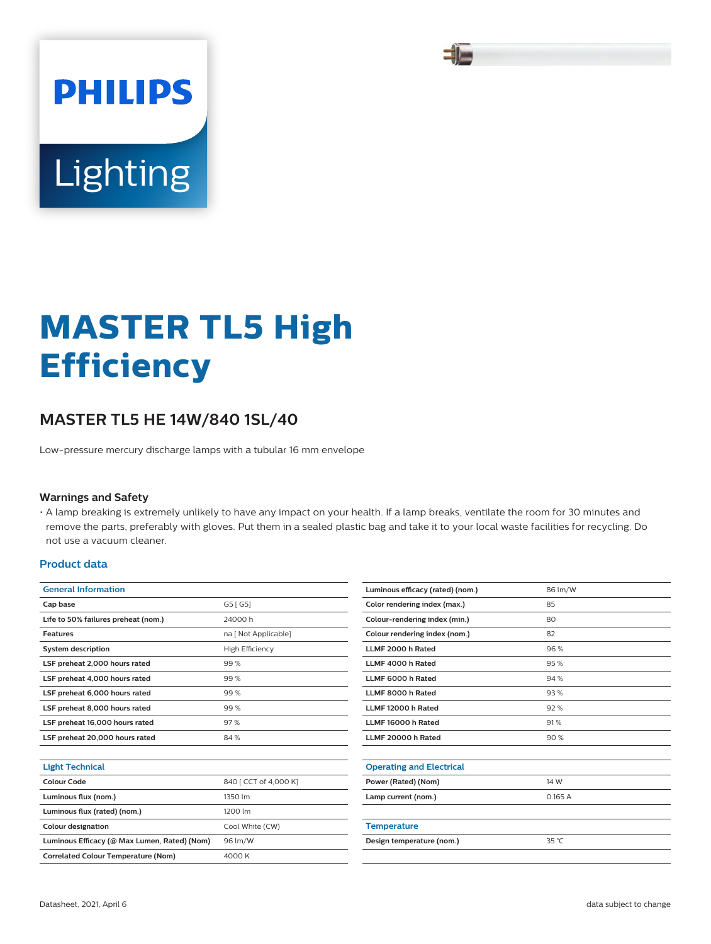

# **Lighting**

**PHILIPS** 

# **MASTER TL5 High Efficiency**

## **MASTER TL5 HE 14W/840 1SL/40**

Low-pressure mercury discharge lamps with a tubular 16 mm envelope

#### **Warnings and Safety**

• A lamp breaking is extremely unlikely to have any impact on your health. If a lamp breaks, ventilate the room for 30 minutes and remove the parts, preferably with gloves. Put them in a sealed plastic bag and take it to your local waste facilities for recycling. Do not use a vacuum cleaner.

#### **Product data**

| <b>General Information</b>                   |                        |  |  |
|----------------------------------------------|------------------------|--|--|
| Cap base                                     | G5 [G5]                |  |  |
| Life to 50% failures preheat (nom.)          | 24000 h                |  |  |
| <b>Features</b>                              | na [ Not Applicable]   |  |  |
| <b>System description</b>                    | <b>High Efficiency</b> |  |  |
| LSF preheat 2,000 hours rated                | 99%                    |  |  |
| LSF preheat 4,000 hours rated                | 99%                    |  |  |
| LSF preheat 6,000 hours rated                | 99%                    |  |  |
| LSF preheat 8,000 hours rated                | 99%                    |  |  |
| LSF preheat 16,000 hours rated               | 97%                    |  |  |
| LSF preheat 20,000 hours rated               | 84%                    |  |  |
|                                              |                        |  |  |
| <b>Light Technical</b>                       |                        |  |  |
| Colour Code                                  | 840 [ CCT of 4,000 K]  |  |  |
| Luminous flux (nom.)                         | 1350 lm                |  |  |
| Luminous flux (rated) (nom.)                 | 1200 lm                |  |  |
| <b>Colour designation</b>                    | Cool White (CW)        |  |  |
| Luminous Efficacy (@ Max Lumen, Rated) (Nom) | 96 lm/W                |  |  |
| <b>Correlated Colour Temperature (Nom)</b>   | 4000 K                 |  |  |
|                                              |                        |  |  |

| Luminous efficacy (rated) (nom.) | 86 lm/W |
|----------------------------------|---------|
| Color rendering index (max.)     | 85      |
| Colour-rendering index (min.)    | 80      |
| Colour rendering index (nom.)    | 82      |
| LLMF 2000 h Rated                | 96%     |
| LLMF 4000 h Rated                | 95%     |
| LLMF 6000 h Rated                | 94 %    |
| LLMF 8000 h Rated                | 93%     |
| LLMF 12000 h Rated               | 92%     |
| LLMF 16000 h Rated               | 91%     |
| LLMF 20000 h Rated               | 90%     |
|                                  |         |
| <b>Operating and Electrical</b>  |         |
| Power (Rated) (Nom)              | 14 W    |
| Lamp current (nom.)              | 0.165A  |
|                                  |         |
| <b>Temperature</b>               |         |
| Design temperature (nom.)        | 35 °C   |
|                                  |         |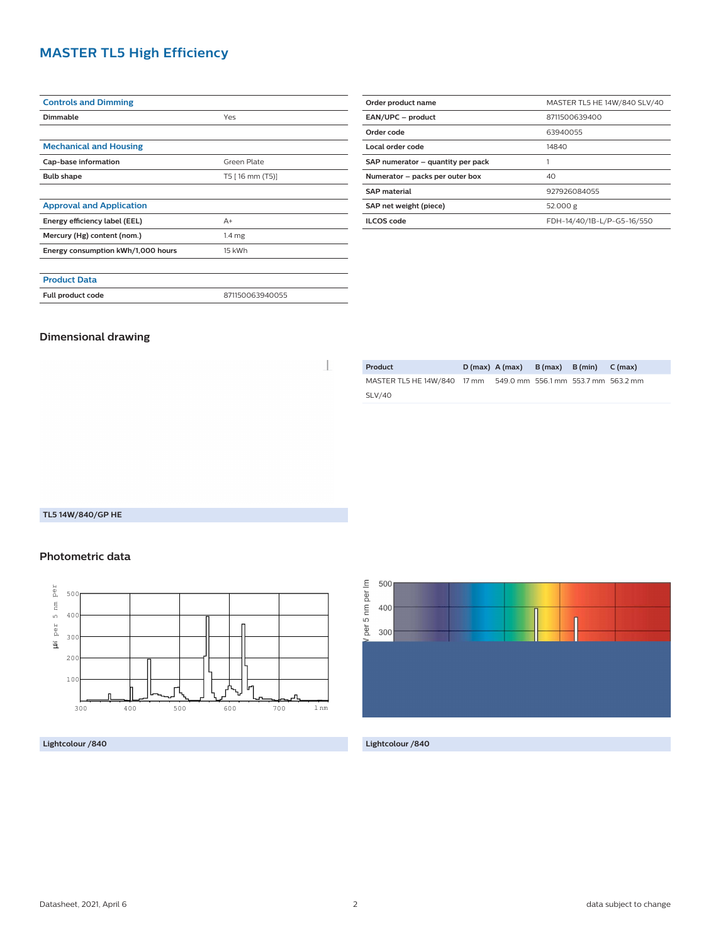### **MASTER TL5 High Efficiency**

| <b>Controls and Dimming</b>        |                   |  |  |
|------------------------------------|-------------------|--|--|
| <b>Dimmable</b>                    | Yes               |  |  |
|                                    |                   |  |  |
| <b>Mechanical and Housing</b>      |                   |  |  |
| Cap-base information               | Green Plate       |  |  |
| <b>Bulb shape</b>                  | T5 [16 mm (T5)]   |  |  |
|                                    |                   |  |  |
| <b>Approval and Application</b>    |                   |  |  |
| Energy efficiency label (EEL)      | $A+$              |  |  |
| Mercury (Hg) content (nom.)        | 1.4 <sub>mg</sub> |  |  |
| Energy consumption kWh/1,000 hours | 15 kWh            |  |  |
|                                    |                   |  |  |
| <b>Product Data</b>                |                   |  |  |
| Full product code                  | 871150063940055   |  |  |

| Order product name                    | MASTER TL5 HE 14W/840 SLV/40 |  |  |
|---------------------------------------|------------------------------|--|--|
| EAN/UPC - product                     | 8711500639400                |  |  |
| Order code                            | 63940055                     |  |  |
| Local order code                      | 14840                        |  |  |
| SAP numerator - quantity per pack     |                              |  |  |
| Numerator - packs per outer box<br>40 |                              |  |  |
| <b>SAP material</b>                   | 927926084055                 |  |  |
| SAP net weight (piece)                | 52.000 g                     |  |  |
| <b>ILCOS</b> code                     | FDH-14/40/1B-L/P-G5-16/550   |  |  |

#### **Dimensional drawing**

I

| Product                     | $D(max)$ A (max)                    | $B(max)$ $B(min)$ $C(max)$ |  |
|-----------------------------|-------------------------------------|----------------------------|--|
| MASTER TL5 HE 14W/840 17 mm | 549.0 mm 556.1 mm 553.7 mm 563.2 mm |                            |  |
| <b>SLV/40</b>               |                                     |                            |  |

#### **TL5 14W/840/GP HE**

#### **Photometric data**



**Lightcolour /840 Lightcolour /840**